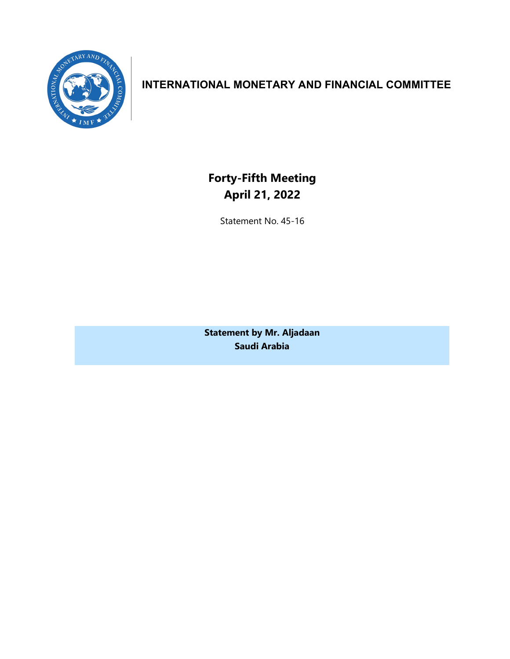

# **INTERNATIONAL MONETARY AND FINANCIAL COMMITTEE**

**Forty-Fifth Meeting April 21, 2022**

Statement No. 45-16

**Statement by Mr. Aljadaan Saudi Arabia**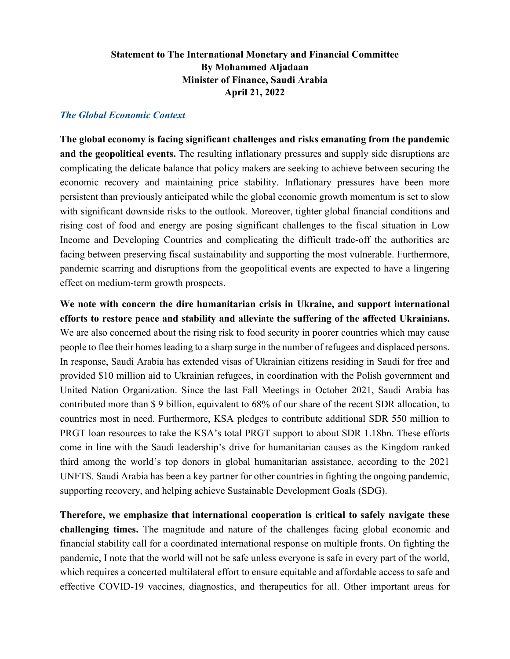## **Statement to The International Monetary and Financial Committee By Mohammed Aljadaan Minister of Finance, Saudi Arabia April 21, 2022**

### *The Global Economic Context*

**The global economy is facing significant challenges and risks emanating from the pandemic and the geopolitical events.** The resulting inflationary pressures and supply side disruptions are complicating the delicate balance that policy makers are seeking to achieve between securing the economic recovery and maintaining price stability. Inflationary pressures have been more persistent than previously anticipated while the global economic growth momentum is set to slow with significant downside risks to the outlook. Moreover, tighter global financial conditions and rising cost of food and energy are posing significant challenges to the fiscal situation in Low Income and Developing Countries and complicating the difficult trade-off the authorities are facing between preserving fiscal sustainability and supporting the most vulnerable. Furthermore, pandemic scarring and disruptions from the geopolitical events are expected to have a lingering effect on medium-term growth prospects.

**We note with concern the dire humanitarian crisis in Ukraine, and support international efforts to restore peace and stability and alleviate the suffering of the affected Ukrainians.** We are also concerned about the rising risk to food security in poorer countries which may cause people to flee their homes leading to a sharp surge in the number of refugees and displaced persons. In response, Saudi Arabia has extended visas of Ukrainian citizens residing in Saudi for free and provided \$10 million aid to Ukrainian refugees, in coordination with the Polish government and United Nation Organization. Since the last Fall Meetings in October 2021, Saudi Arabia has contributed more than \$ 9 billion, equivalent to 68% of our share of the recent SDR allocation, to countries most in need. Furthermore, KSA pledges to contribute additional SDR 550 million to PRGT loan resources to take the KSA's total PRGT support to about SDR 1.18bn. These efforts come in line with the Saudi leadership's drive for humanitarian causes as the Kingdom ranked third among the world's top donors in global humanitarian assistance, according to the 2021 UNFTS. Saudi Arabia has been a key partner for other countries in fighting the ongoing pandemic, supporting recovery, and helping achieve Sustainable Development Goals (SDG).

**Therefore, we emphasize that international cooperation is critical to safely navigate these challenging times.** The magnitude and nature of the challenges facing global economic and financial stability call for a coordinated international response on multiple fronts. On fighting the pandemic, I note that the world will not be safe unless everyone is safe in every part of the world, which requires a concerted multilateral effort to ensure equitable and affordable access to safe and effective COVID-19 vaccines, diagnostics, and therapeutics for all. Other important areas for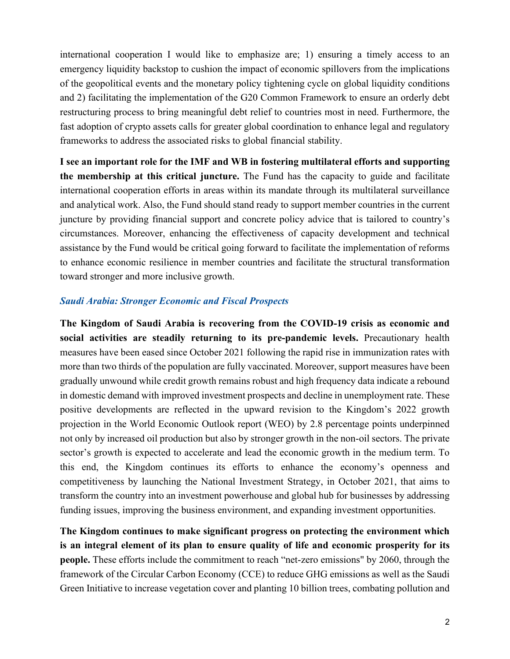international cooperation I would like to emphasize are; 1) ensuring a timely access to an emergency liquidity backstop to cushion the impact of economic spillovers from the implications of the geopolitical events and the monetary policy tightening cycle on global liquidity conditions and 2) facilitating the implementation of the G20 Common Framework to ensure an orderly debt restructuring process to bring meaningful debt relief to countries most in need. Furthermore, the fast adoption of crypto assets calls for greater global coordination to enhance legal and regulatory frameworks to address the associated risks to global financial stability.

**I see an important role for the IMF and WB in fostering multilateral efforts and supporting the membership at this critical juncture.** The Fund has the capacity to guide and facilitate international cooperation efforts in areas within its mandate through its multilateral surveillance and analytical work. Also, the Fund should stand ready to support member countries in the current juncture by providing financial support and concrete policy advice that is tailored to country's circumstances. Moreover, enhancing the effectiveness of capacity development and technical assistance by the Fund would be critical going forward to facilitate the implementation of reforms to enhance economic resilience in member countries and facilitate the structural transformation toward stronger and more inclusive growth.

#### *Saudi Arabia: Stronger Economic and Fiscal Prospects*

**The Kingdom of Saudi Arabia is recovering from the COVID-19 crisis as economic and social activities are steadily returning to its pre-pandemic levels.** Precautionary health measures have been eased since October 2021 following the rapid rise in immunization rates with more than two thirds of the population are fully vaccinated. Moreover, support measures have been gradually unwound while credit growth remains robust and high frequency data indicate a rebound in domestic demand with improved investment prospects and decline in unemployment rate. These positive developments are reflected in the upward revision to the Kingdom's 2022 growth projection in the World Economic Outlook report (WEO) by 2.8 percentage points underpinned not only by increased oil production but also by stronger growth in the non-oil sectors. The private sector's growth is expected to accelerate and lead the economic growth in the medium term. To this end, the Kingdom continues its efforts to enhance the economy's openness and competitiveness by launching the National Investment Strategy, in October 2021, that aims to transform the country into an investment powerhouse and global hub for businesses by addressing funding issues, improving the business environment, and expanding investment opportunities.

**The Kingdom continues to make significant progress on protecting the environment which is an integral element of its plan to ensure quality of life and economic prosperity for its people.** These efforts include the commitment to reach "net-zero emissions" by 2060, through the framework of the Circular Carbon Economy (CCE) to reduce GHG emissions as well as the Saudi Green Initiative to increase vegetation cover and planting 10 billion trees, combating pollution and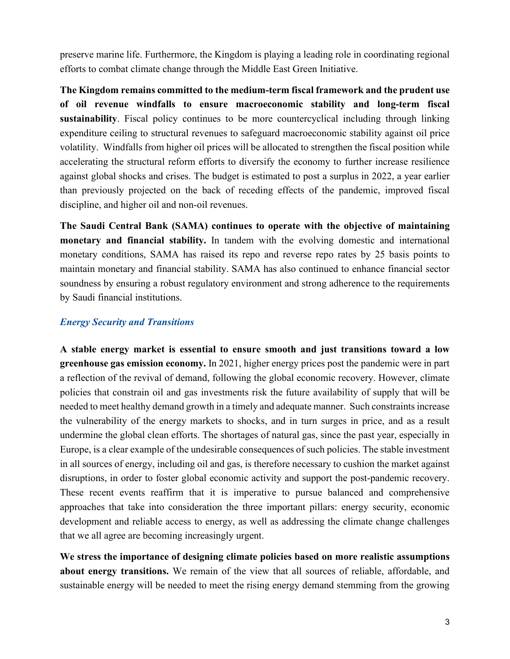preserve marine life. Furthermore, the Kingdom is playing a leading role in coordinating regional efforts to combat climate change through the Middle East Green Initiative.

**The Kingdom remains committed to the medium-term fiscal framework and the prudent use of oil revenue windfalls to ensure macroeconomic stability and long-term fiscal sustainability**. Fiscal policy continues to be more countercyclical including through linking expenditure ceiling to structural revenues to safeguard macroeconomic stability against oil price volatility. Windfalls from higher oil prices will be allocated to strengthen the fiscal position while accelerating the structural reform efforts to diversify the economy to further increase resilience against global shocks and crises. The budget is estimated to post a surplus in 2022, a year earlier than previously projected on the back of receding effects of the pandemic, improved fiscal discipline, and higher oil and non-oil revenues.

**The Saudi Central Bank (SAMA) continues to operate with the objective of maintaining monetary and financial stability.** In tandem with the evolving domestic and international monetary conditions, SAMA has raised its repo and reverse repo rates by 25 basis points to maintain monetary and financial stability. SAMA has also continued to enhance financial sector soundness by ensuring a robust regulatory environment and strong adherence to the requirements by Saudi financial institutions.

## *Energy Security and Transitions*

**A stable energy market is essential to ensure smooth and just transitions toward a low greenhouse gas emission economy.** In 2021, higher energy prices post the pandemic were in part a reflection of the revival of demand, following the global economic recovery. However, climate policies that constrain oil and gas investments risk the future availability of supply that will be needed to meet healthy demand growth in a timely and adequate manner. Such constraints increase the vulnerability of the energy markets to shocks, and in turn surges in price, and as a result undermine the global clean efforts. The shortages of natural gas, since the past year, especially in Europe, is a clear example of the undesirable consequences of such policies. The stable investment in all sources of energy, including oil and gas, is therefore necessary to cushion the market against disruptions, in order to foster global economic activity and support the post-pandemic recovery. These recent events reaffirm that it is imperative to pursue balanced and comprehensive approaches that take into consideration the three important pillars: energy security, economic development and reliable access to energy, as well as addressing the climate change challenges that we all agree are becoming increasingly urgent.

**We stress the importance of designing climate policies based on more realistic assumptions about energy transitions.** We remain of the view that all sources of reliable, affordable, and sustainable energy will be needed to meet the rising energy demand stemming from the growing